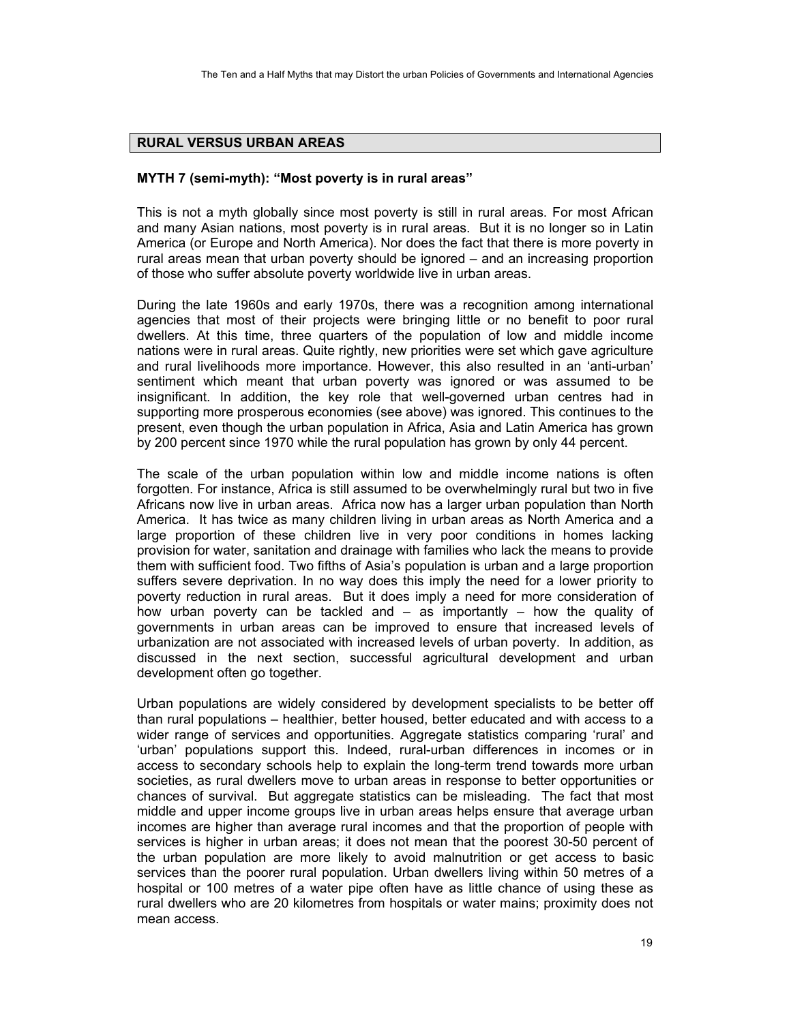## **RURAL VERSUS URBAN AREAS**

## **MYTH 7 (semi-myth): "Most poverty is in rural areas"**

This is not a myth globally since most poverty is still in rural areas. For most African and many Asian nations, most poverty is in rural areas. But it is no longer so in Latin America (or Europe and North America). Nor does the fact that there is more poverty in rural areas mean that urban poverty should be ignored – and an increasing proportion of those who suffer absolute poverty worldwide live in urban areas.

During the late 1960s and early 1970s, there was a recognition among international agencies that most of their projects were bringing little or no benefit to poor rural dwellers. At this time, three quarters of the population of low and middle income nations were in rural areas. Quite rightly, new priorities were set which gave agriculture and rural livelihoods more importance. However, this also resulted in an 'anti-urban' sentiment which meant that urban poverty was ignored or was assumed to be insignificant. In addition, the key role that well-governed urban centres had in supporting more prosperous economies (see above) was ignored. This continues to the present, even though the urban population in Africa, Asia and Latin America has grown by 200 percent since 1970 while the rural population has grown by only 44 percent.

The scale of the urban population within low and middle income nations is often forgotten. For instance, Africa is still assumed to be overwhelmingly rural but two in five Africans now live in urban areas. Africa now has a larger urban population than North America. It has twice as many children living in urban areas as North America and a large proportion of these children live in very poor conditions in homes lacking provision for water, sanitation and drainage with families who lack the means to provide them with sufficient food. Two fifths of Asia's population is urban and a large proportion suffers severe deprivation. In no way does this imply the need for a lower priority to poverty reduction in rural areas. But it does imply a need for more consideration of how urban poverty can be tackled and – as importantly – how the quality of governments in urban areas can be improved to ensure that increased levels of urbanization are not associated with increased levels of urban poverty. In addition, as discussed in the next section, successful agricultural development and urban development often go together.

Urban populations are widely considered by development specialists to be better off than rural populations – healthier, better housed, better educated and with access to a wider range of services and opportunities. Aggregate statistics comparing 'rural' and 'urban' populations support this. Indeed, rural-urban differences in incomes or in access to secondary schools help to explain the long-term trend towards more urban societies, as rural dwellers move to urban areas in response to better opportunities or chances of survival. But aggregate statistics can be misleading. The fact that most middle and upper income groups live in urban areas helps ensure that average urban incomes are higher than average rural incomes and that the proportion of people with services is higher in urban areas; it does not mean that the poorest 30-50 percent of the urban population are more likely to avoid malnutrition or get access to basic services than the poorer rural population. Urban dwellers living within 50 metres of a hospital or 100 metres of a water pipe often have as little chance of using these as rural dwellers who are 20 kilometres from hospitals or water mains; proximity does not mean access.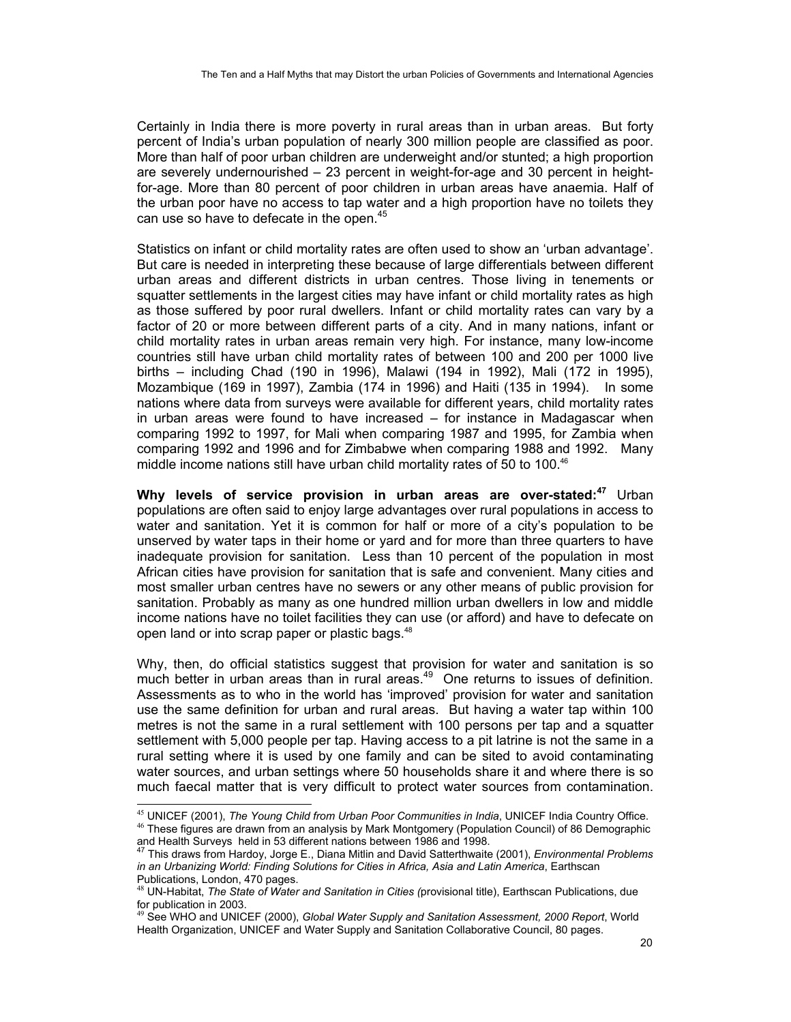Certainly in India there is more poverty in rural areas than in urban areas. But forty percent of India's urban population of nearly 300 million people are classified as poor. More than half of poor urban children are underweight and/or stunted; a high proportion are severely undernourished – 23 percent in weight-for-age and 30 percent in heightfor-age. More than 80 percent of poor children in urban areas have anaemia. Half of the urban poor have no access to tap water and a high proportion have no toilets they can use so have to defecate in the open.<sup>45</sup>

Statistics on infant or child mortality rates are often used to show an 'urban advantage'. But care is needed in interpreting these because of large differentials between different urban areas and different districts in urban centres. Those living in tenements or squatter settlements in the largest cities may have infant or child mortality rates as high as those suffered by poor rural dwellers. Infant or child mortality rates can vary by a factor of 20 or more between different parts of a city. And in many nations, infant or child mortality rates in urban areas remain very high. For instance, many low-income countries still have urban child mortality rates of between 100 and 200 per 1000 live births – including Chad (190 in 1996), Malawi (194 in 1992), Mali (172 in 1995), Mozambique (169 in 1997), Zambia (174 in 1996) and Haiti (135 in 1994). In some nations where data from surveys were available for different years, child mortality rates in urban areas were found to have increased – for instance in Madagascar when comparing 1992 to 1997, for Mali when comparing 1987 and 1995, for Zambia when comparing 1992 and 1996 and for Zimbabwe when comparing 1988 and 1992. Many middle income nations still have urban child mortality rates of 50 to 100.<sup>46</sup>

**Why levels of service provision in urban areas are over-stated:<sup>47</sup>** Urban populations are often said to enjoy large advantages over rural populations in access to water and sanitation. Yet it is common for half or more of a city's population to be unserved by water taps in their home or yard and for more than three quarters to have inadequate provision for sanitation. Less than 10 percent of the population in most African cities have provision for sanitation that is safe and convenient. Many cities and most smaller urban centres have no sewers or any other means of public provision for sanitation. Probably as many as one hundred million urban dwellers in low and middle income nations have no toilet facilities they can use (or afford) and have to defecate on open land or into scrap paper or plastic bags.<sup>48</sup>

Why, then, do official statistics suggest that provision for water and sanitation is so much better in urban areas than in rural areas.<sup>49</sup> One returns to issues of definition. Assessments as to who in the world has 'improved' provision for water and sanitation use the same definition for urban and rural areas. But having a water tap within 100 metres is not the same in a rural settlement with 100 persons per tap and a squatter settlement with 5,000 people per tap. Having access to a pit latrine is not the same in a rural setting where it is used by one family and can be sited to avoid contaminating water sources, and urban settings where 50 households share it and where there is so much faecal matter that is very difficult to protect water sources from contamination.

<sup>45</sup> UNICEF (2001), The Young Child from Urban Poor Communities in India, UNICEF India Country Office. <sup>46</sup> These figures are drawn from an analysis by Mark Montgomery (Population Council) of 86 Demographic

and Health Surveys held in 53 different nations between 1986 and 1998. 47 This draws from Hardoy, Jorge E., Diana Mitlin and David Satterthwaite (2001), *Environmental Problems* 

*in an Urbanizing World: Finding Solutions for Cities in Africa, Asia and Latin America*, Earthscan Publications, London, 470 pages.

<sup>48</sup> UN-Habitat, *The State of Water and Sanitation in Cities (*provisional title), Earthscan Publications, due for publication in 2003.<br><sup>49</sup> See WHO and UNICEF (2000), *Global Water Supply and Sanitation Assessment, 2000 Report*, World

Health Organization, UNICEF and Water Supply and Sanitation Collaborative Council, 80 pages.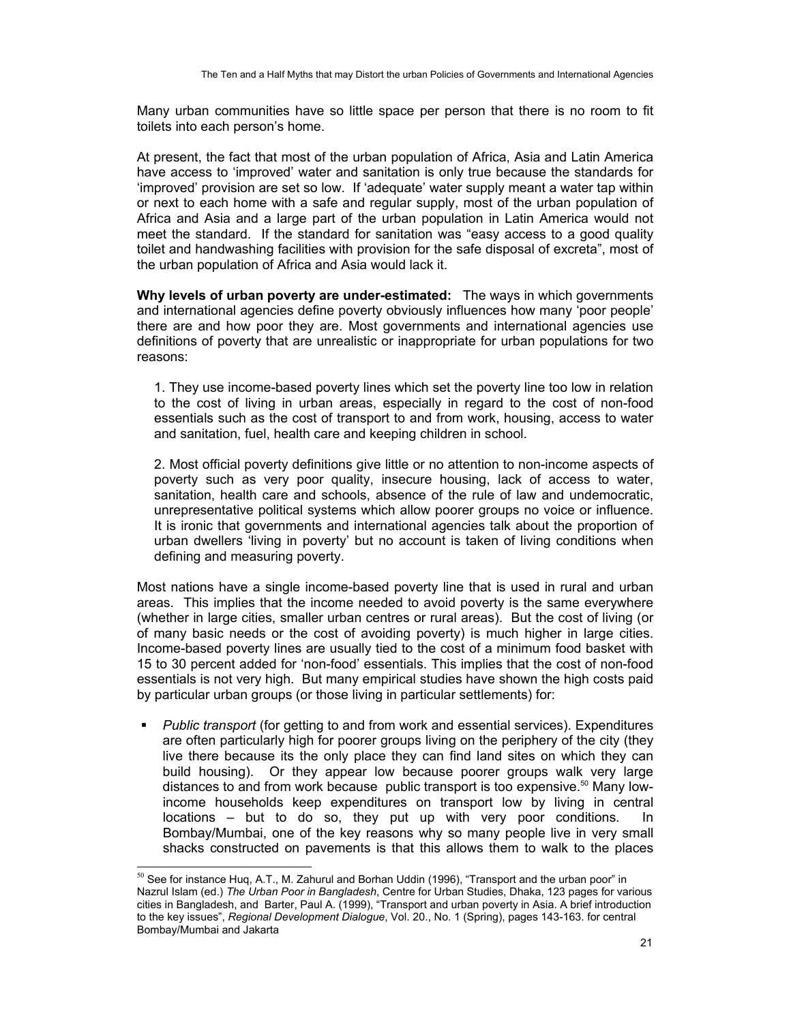Many urban communities have so little space per person that there is no room to fit toilets into each person's home.

At present, the fact that most of the urban population of Africa, Asia and Latin America have access to 'improved' water and sanitation is only true because the standards for 'improved' provision are set so low. If 'adequate' water supply meant a water tap within or next to each home with a safe and regular supply, most of the urban population of Africa and Asia and a large part of the urban population in Latin America would not meet the standard. If the standard for sanitation was "easy access to a good quality toilet and handwashing facilities with provision for the safe disposal of excreta", most of the urban population of Africa and Asia would lack it.

**Why levels of urban poverty are under-estimated:** The ways in which governments and international agencies define poverty obviously influences how many 'poor people' there are and how poor they are. Most governments and international agencies use definitions of poverty that are unrealistic or inappropriate for urban populations for two reasons:

1. They use income-based poverty lines which set the poverty line too low in relation to the cost of living in urban areas, especially in regard to the cost of non-food essentials such as the cost of transport to and from work, housing, access to water and sanitation, fuel, health care and keeping children in school.

2. Most official poverty definitions give little or no attention to non-income aspects of poverty such as very poor quality, insecure housing, lack of access to water, sanitation, health care and schools, absence of the rule of law and undemocratic, unrepresentative political systems which allow poorer groups no voice or influence. It is ironic that governments and international agencies talk about the proportion of urban dwellers 'living in poverty' but no account is taken of living conditions when defining and measuring poverty.

Most nations have a single income-based poverty line that is used in rural and urban areas. This implies that the income needed to avoid poverty is the same everywhere (whether in large cities, smaller urban centres or rural areas). But the cost of living (or of many basic needs or the cost of avoiding poverty) is much higher in large cities. Income-based poverty lines are usually tied to the cost of a minimum food basket with 15 to 30 percent added for 'non-food' essentials. This implies that the cost of non-food essentials is not very high. But many empirical studies have shown the high costs paid by particular urban groups (or those living in particular settlements) for:

 *Public transport* (for getting to and from work and essential services). Expenditures are often particularly high for poorer groups living on the periphery of the city (they live there because its the only place they can find land sites on which they can build housing). Or they appear low because poorer groups walk very large distances to and from work because public transport is too expensive.<sup>50</sup> Many lowincome households keep expenditures on transport low by living in central locations – but to do so, they put up with very poor conditions. In Bombay/Mumbai, one of the key reasons why so many people live in very small shacks constructed on pavements is that this allows them to walk to the places

 $^{50}$  See for instance Huq, A.T., M. Zahurul and Borhan Uddin (1996), "Transport and the urban poor" in Nazrul Islam (ed.) *The Urban Poor in Bangladesh*, Centre for Urban Studies, Dhaka, 123 pages for various cities in Bangladesh, and Barter, Paul A. (1999), "Transport and urban poverty in Asia. A brief introduction to the key issues", *Regional Development Dialogue*, Vol. 20., No. 1 (Spring), pages 143-163. for central Bombay/Mumbai and Jakarta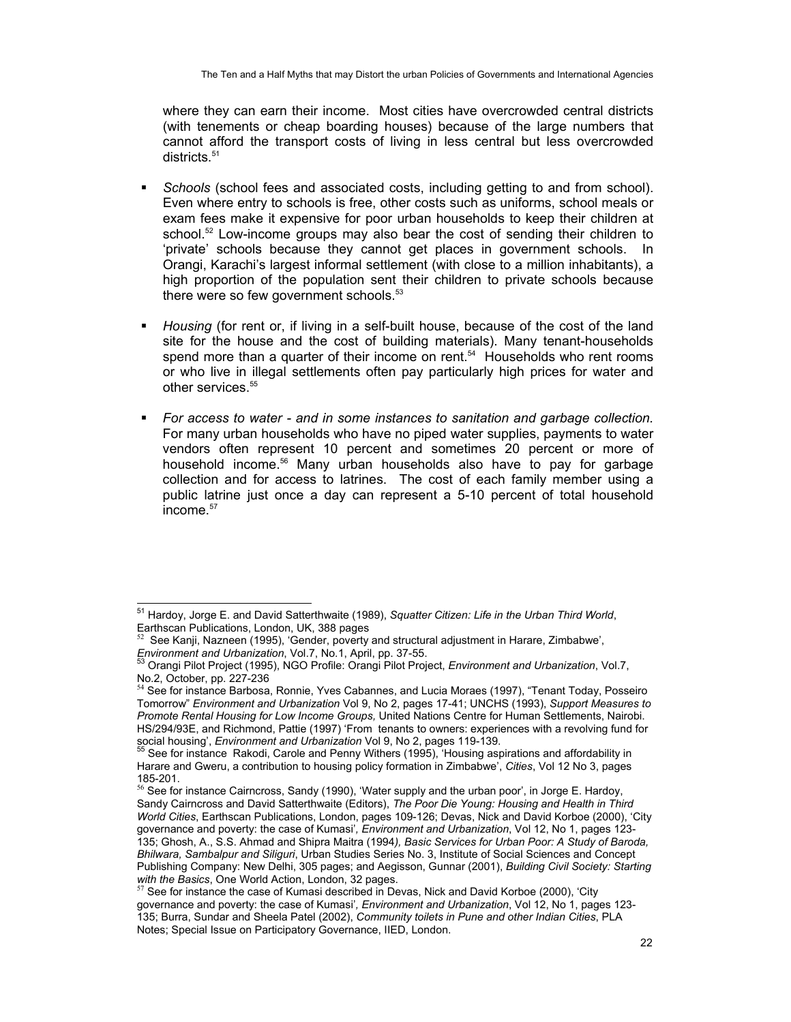where they can earn their income. Most cities have overcrowded central districts (with tenements or cheap boarding houses) because of the large numbers that cannot afford the transport costs of living in less central but less overcrowded districts.<sup>51</sup>

- *Schools* (school fees and associated costs, including getting to and from school). Even where entry to schools is free, other costs such as uniforms, school meals or exam fees make it expensive for poor urban households to keep their children at school.<sup>52</sup> Low-income groups may also bear the cost of sending their children to 'private' schools because they cannot get places in government schools. In Orangi, Karachi's largest informal settlement (with close to a million inhabitants), a high proportion of the population sent their children to private schools because there were so few government schools.<sup>53</sup>
- *Housing* (for rent or, if living in a self-built house, because of the cost of the land site for the house and the cost of building materials). Many tenant-households spend more than a quarter of their income on rent.<sup>54</sup> Households who rent rooms or who live in illegal settlements often pay particularly high prices for water and other services.<sup>55</sup>
- *For access to water and in some instances to sanitation and garbage collection.* For many urban households who have no piped water supplies, payments to water vendors often represent 10 percent and sometimes 20 percent or more of household income.56 Many urban households also have to pay for garbage collection and for access to latrines. The cost of each family member using a public latrine just once a day can represent a 5-10 percent of total household income.<sup>57</sup>

<sup>51</sup> Hardoy, Jorge E. and David Satterthwaite (1989), *Squatter Citizen: Life in the Urban Third World*, Earthscan Publications, London, UK, 388 pages

<sup>52</sup> See Kanji, Nazneen (1995), 'Gender, poverty and structural adjustment in Harare, Zimbabwe', *Environment and Urbanization*, Vol.7, No.1, April, pp. 37-55.<br><sup>53</sup> Orangi Pilot Project (1995), NGO Profile: Orangi Pilot Project, *Environment and Urbanization*, Vol.7,

No.2, October, pp. 227-236

<sup>&</sup>lt;sup>54</sup> See for instance Barbosa, Ronnie, Yves Cabannes, and Lucia Moraes (1997), "Tenant Today, Posseiro Tomorrow" *Environment and Urbanization* Vol 9, No 2, pages 17-41; UNCHS (1993), *Support Measures to Promote Rental Housing for Low Income Groups,* United Nations Centre for Human Settlements, Nairobi. HS/294/93E, and Richmond, Pattie (1997) 'From tenants to owners: experiences with a revolving fund for social housing', *Environment and Urbanization* Vol 9, No 2, pages 119-139.<br><sup>55</sup> See for instance Rakodi, Carole and Penny Withers (1995), 'Housing aspirations and affordability in

Harare and Gweru, a contribution to housing policy formation in Zimbabwe', *Cities*, Vol 12 No 3, pages 185-201.

 $<sup>6</sup>$  See for instance Cairncross, Sandy (1990), 'Water supply and the urban poor', in Jorge E. Hardoy,</sup> Sandy Cairncross and David Satterthwaite (Editors), *The Poor Die Young: Housing and Health in Third World Cities*, Earthscan Publications, London, pages 109-126; Devas, Nick and David Korboe (2000), 'City governance and poverty: the case of Kumasi'*, Environment and Urbanization*, Vol 12, No 1, pages 123- 135; Ghosh, A., S.S. Ahmad and Shipra Maitra (1994*), Basic Services for Urban Poor: A Study of Baroda, Bhilwara, Sambalpur and Siliguri*, Urban Studies Series No. 3, Institute of Social Sciences and Concept Publishing Company: New Delhi, 305 pages; and Aegisson, Gunnar (2001), *Building Civil Society: Starting*  with the Basics, One World Action, London, 32 pages.<br><sup>57</sup> See for instance the case of Kumasi described in Devas, Nick and David Korboe (2000), 'City

governance and poverty: the case of Kumasi'*, Environment and Urbanization*, Vol 12, No 1, pages 123- 135; Burra, Sundar and Sheela Patel (2002), *Community toilets in Pune and other Indian Cities*, PLA Notes; Special Issue on Participatory Governance, IIED, London.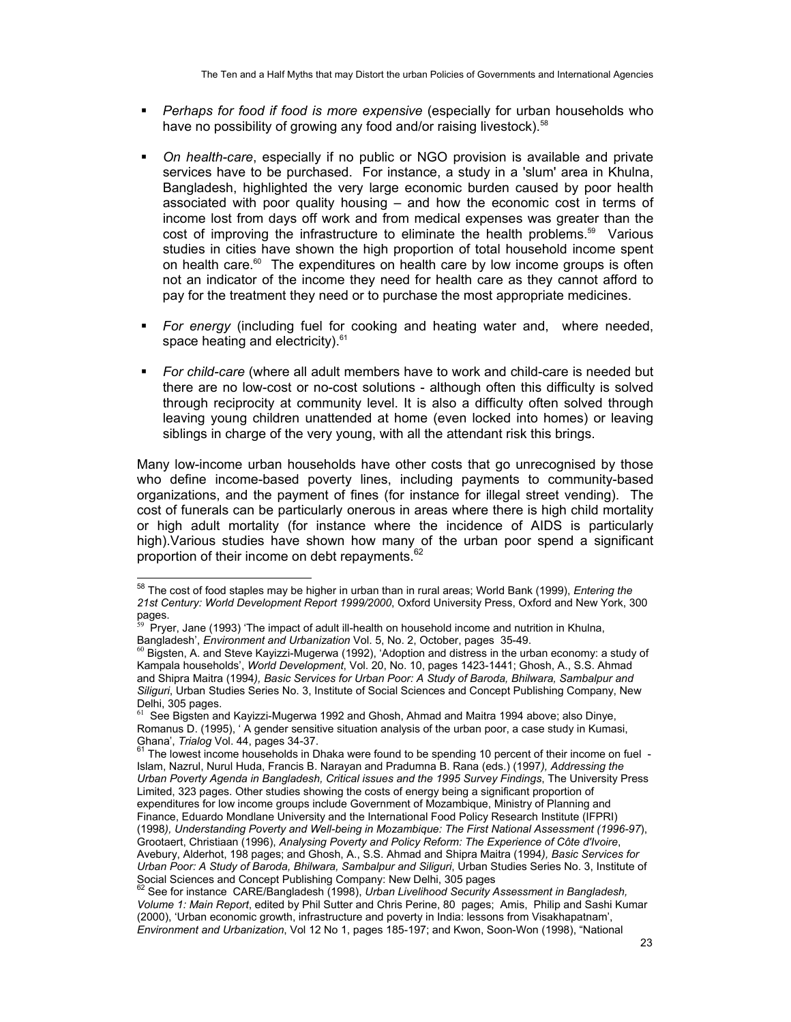- *Perhaps for food if food is more expensive* (especially for urban households who have no possibility of growing any food and/or raising livestock).<sup>58</sup>
- *On health-care*, especially if no public or NGO provision is available and private services have to be purchased. For instance, a study in a 'slum' area in Khulna, Bangladesh, highlighted the very large economic burden caused by poor health associated with poor quality housing – and how the economic cost in terms of income lost from days off work and from medical expenses was greater than the cost of improving the infrastructure to eliminate the health problems.59 Various studies in cities have shown the high proportion of total household income spent on health care.<sup>60</sup> The expenditures on health care by low income groups is often not an indicator of the income they need for health care as they cannot afford to pay for the treatment they need or to purchase the most appropriate medicines.
- *For energy* (including fuel for cooking and heating water and, where needed, space heating and electricity). $61$
- *For child-care* (where all adult members have to work and child-care is needed but there are no low-cost or no-cost solutions - although often this difficulty is solved through reciprocity at community level. It is also a difficulty often solved through leaving young children unattended at home (even locked into homes) or leaving siblings in charge of the very young, with all the attendant risk this brings.

Many low-income urban households have other costs that go unrecognised by those who define income-based poverty lines, including payments to community-based organizations, and the payment of fines (for instance for illegal street vending). The cost of funerals can be particularly onerous in areas where there is high child mortality or high adult mortality (for instance where the incidence of AIDS is particularly high).Various studies have shown how many of the urban poor spend a significant proportion of their income on debt repayments.<sup>62</sup>

<sup>58</sup> The cost of food staples may be higher in urban than in rural areas; World Bank (1999), *Entering the 21st Century: World Development Report 1999/2000*, Oxford University Press, Oxford and New York, 300 pages.

<sup>59</sup> Pryer, Jane (1993) 'The impact of adult ill-health on household income and nutrition in Khulna,

Bangladesh', *Environment and Urbanization Vol.* 5, No. 2, October, pages 35-49.<br><sup>60</sup> Bigsten, A. and Steve Kayizzi-Mugerwa (1992), 'Adoption and distress in the urban economy: a study of Kampala households', *World Development*, Vol. 20, No. 10, pages 1423-1441; Ghosh, A., S.S. Ahmad and Shipra Maitra (1994*), Basic Services for Urban Poor: A Study of Baroda, Bhilwara, Sambalpur and Siliguri*, Urban Studies Series No. 3, Institute of Social Sciences and Concept Publishing Company, New Delhi, 305 pages.

<sup>&</sup>lt;sup>61</sup> See Bigsten and Kayizzi-Mugerwa 1992 and Ghosh, Ahmad and Maitra 1994 above; also Dinye, Romanus D. (1995), ' A gender sensitive situation analysis of the urban poor, a case study in Kumasi,

Chana', *Trialog Vol. 44*, pages 34-37.<br><sup>61</sup> The lowest income households in Dhaka were found to be spending 10 percent of their income on fuel -Islam, Nazrul, Nurul Huda, Francis B. Narayan and Pradumna B. Rana (eds.) (1997*), Addressing the Urban Poverty Agenda in Bangladesh, Critical issues and the 1995 Survey Findings*, The University Press Limited, 323 pages. Other studies showing the costs of energy being a significant proportion of expenditures for low income groups include Government of Mozambique, Ministry of Planning and Finance, Eduardo Mondlane University and the International Food Policy Research Institute (IFPRI) (1998*), Understanding Poverty and Well-being in Mozambique: The First National Assessment (1996-97*), Grootaert, Christiaan (1996), *Analysing Poverty and Policy Reform: The Experience of Côte d'Ivoire*, Avebury, Alderhot, 198 pages; and Ghosh, A., S.S. Ahmad and Shipra Maitra (1994*), Basic Services for Urban Poor: A Study of Baroda, Bhilwara, Sambalpur and Siliguri*, Urban Studies Series No. 3, Institute of Social Sciences and Concept Publishing Company: New Delhi, 305 pages<br><sup>62</sup> See for instance, CADE (based at the time of the USS) of the Belhi, 305 pages

<sup>62</sup> See for instance CARE/Bangladesh (1998), *Urban Livelihood Security Assessment in Bangladesh, Volume 1: Main Report*, edited by Phil Sutter and Chris Perine, 80 pages; Amis, Philip and Sashi Kumar (2000), 'Urban economic growth, infrastructure and poverty in India: lessons from Visakhapatnam', *Environment and Urbanization*, Vol 12 No 1, pages 185-197; and Kwon, Soon-Won (1998), "National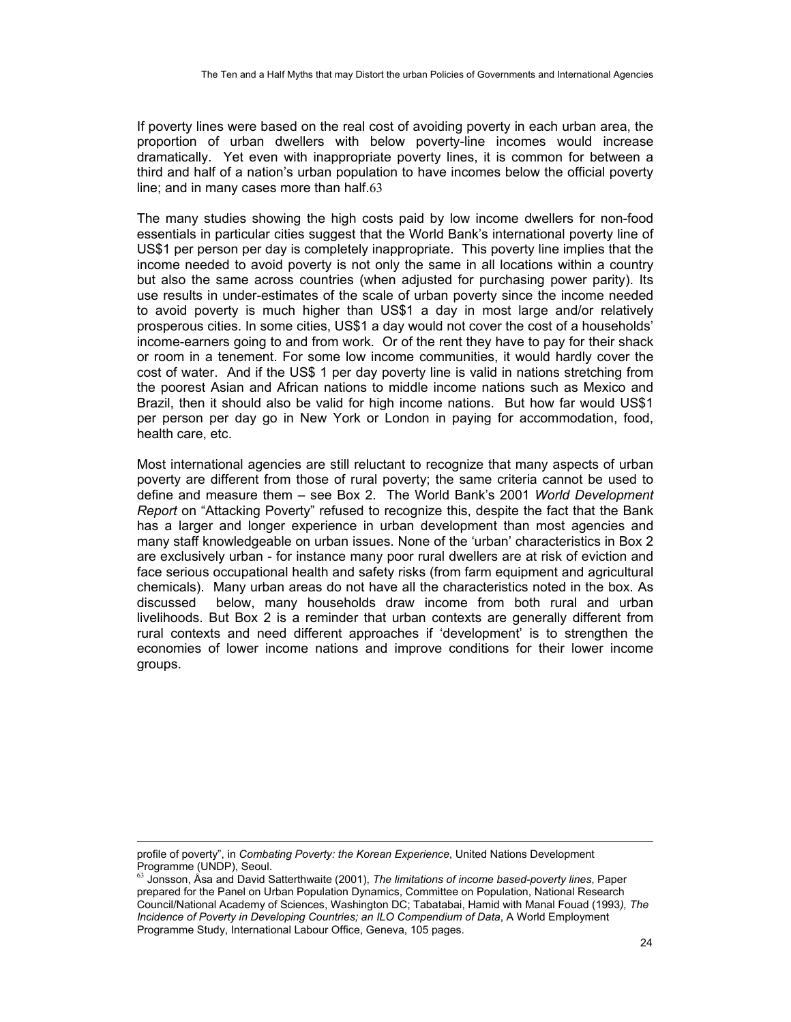If poverty lines were based on the real cost of avoiding poverty in each urban area, the proportion of urban dwellers with below poverty-line incomes would increase dramatically. Yet even with inappropriate poverty lines, it is common for between a third and half of a nation's urban population to have incomes below the official poverty line; and in many cases more than half.63

The many studies showing the high costs paid by low income dwellers for non-food essentials in particular cities suggest that the World Bank's international poverty line of US\$1 per person per day is completely inappropriate. This poverty line implies that the income needed to avoid poverty is not only the same in all locations within a country but also the same across countries (when adjusted for purchasing power parity). Its use results in under-estimates of the scale of urban poverty since the income needed to avoid poverty is much higher than US\$1 a day in most large and/or relatively prosperous cities. In some cities, US\$1 a day would not cover the cost of a households' income-earners going to and from work. Or of the rent they have to pay for their shack or room in a tenement. For some low income communities, it would hardly cover the cost of water. And if the US\$ 1 per day poverty line is valid in nations stretching from the poorest Asian and African nations to middle income nations such as Mexico and Brazil, then it should also be valid for high income nations. But how far would US\$1 per person per day go in New York or London in paying for accommodation, food, health care, etc.

Most international agencies are still reluctant to recognize that many aspects of urban poverty are different from those of rural poverty; the same criteria cannot be used to define and measure them – see Box 2. The World Bank's 2001 *World Development Report* on "Attacking Poverty" refused to recognize this, despite the fact that the Bank has a larger and longer experience in urban development than most agencies and many staff knowledgeable on urban issues. None of the 'urban' characteristics in Box 2 are exclusively urban - for instance many poor rural dwellers are at risk of eviction and face serious occupational health and safety risks (from farm equipment and agricultural chemicals). Many urban areas do not have all the characteristics noted in the box. As discussed below, many households draw income from both rural and urban livelihoods. But Box 2 is a reminder that urban contexts are generally different from rural contexts and need different approaches if 'development' is to strengthen the economies of lower income nations and improve conditions for their lower income groups.

-

profile of poverty", in *Combating Poverty: the Korean Experience*, United Nations Development Programme (UNDP), Seoul.

<sup>63</sup> Jonsson, Åsa and David Satterthwaite (2001), *The limitations of income based-poverty lines*, Paper prepared for the Panel on Urban Population Dynamics, Committee on Population, National Research Council/National Academy of Sciences, Washington DC; Tabatabai, Hamid with Manal Fouad (1993*), The Incidence of Poverty in Developing Countries; an ILO Compendium of Data*, A World Employment Programme Study, International Labour Office, Geneva, 105 pages.